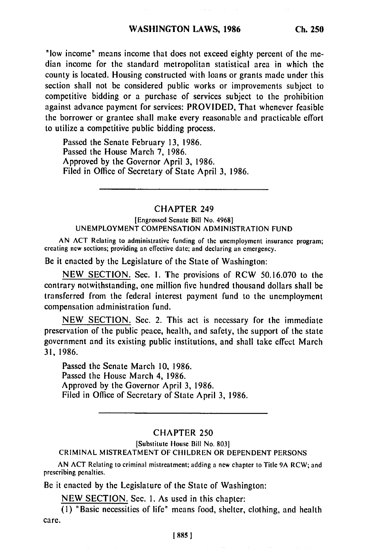"low income" means income that does not exceed eighty percent of the median income for the standard metropolitan statistical area in which the county is located. Housing constructed with loans or grants made under this section shall not be considered public works or improvements subject to competitive bidding or a purchase of services subject to the prohibition against advance payment for services: PROVIDED, That whenever feasible the borrower or grantee shall make every reasonable and practicable effort to utilize a competitive public bidding process.

Passed the Senate February 13, 1986. Passed the House March 7, 1986. Approved by the Governor April 3, 1986. Filed in Office of Secretary of State April 3, 1986.

## CHAPTER 249

[Engrossed Senate Bill No. 4968] UNEMPLOYMENT COMPENSATION ADMINISTRATION FUND

AN ACT Relating to administrative funding of the unemployment insurance program; creating new sections; providing an effective date; and declaring an emergency.

Be it enacted by the Legislature of the State of Washington:

NEW SECTION. Sec. I. The provisions of RCW 50.16.070 to the contrary notwithstanding, one million five hundred thousand dollars shall be transferred from the federal interest payment fund to the unemployment compensation administration fund.

NEW SECTION. Sec. 2. This act is necessary for the immediate preservation of the public peace, health, and safety, the support of the state government and its existing public institutions, and shall take effect March 31, 1986.

Passed the Senate March 10, 1986. Passed the House March 4, 1986. Approved by the Governor April 3, 1986. Filed in Office of Secretary of State April **3,** 1986.

## CHAPTER 250

[Substitute House Bill No. 803]

CRIMINAL MISTREATMENT OF CHILDREN OR DEPENDENT PERSONS

AN ACT Relating to criminal mistreatment; adding a new chapter to Title 9A RCW; and prescribing penalties.

Be it enacted by the Legislature of the State of Washington:

NEW SECTION. Sec. **1.** As used in this chapter:

**(1)** "Basic necessities of life" means food, shelter, clothing, and health care.